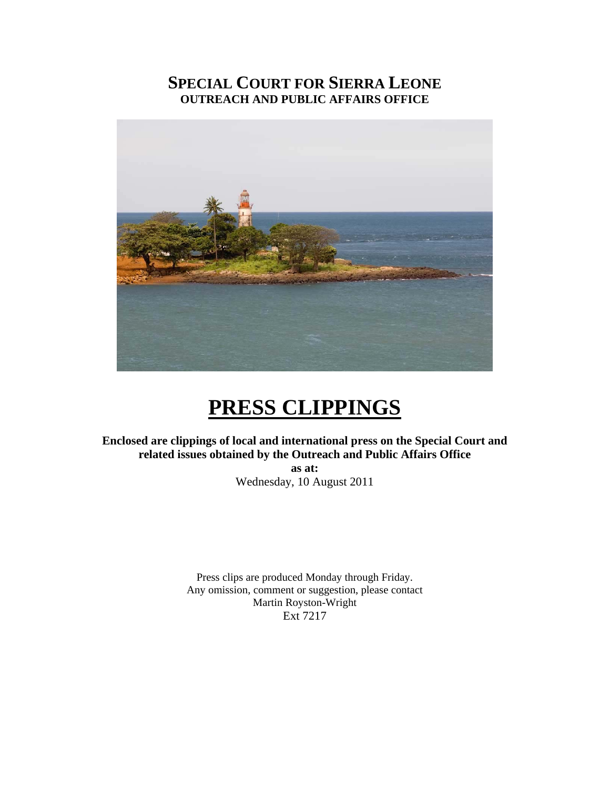# **SPECIAL COURT FOR SIERRA LEONE OUTREACH AND PUBLIC AFFAIRS OFFICE**



# **PRESS CLIPPINGS**

#### **Enclosed are clippings of local and international press on the Special Court and related issues obtained by the Outreach and Public Affairs Office**

**as at:**  Wednesday, 10 August 2011

Press clips are produced Monday through Friday. Any omission, comment or suggestion, please contact Martin Royston-Wright Ext 7217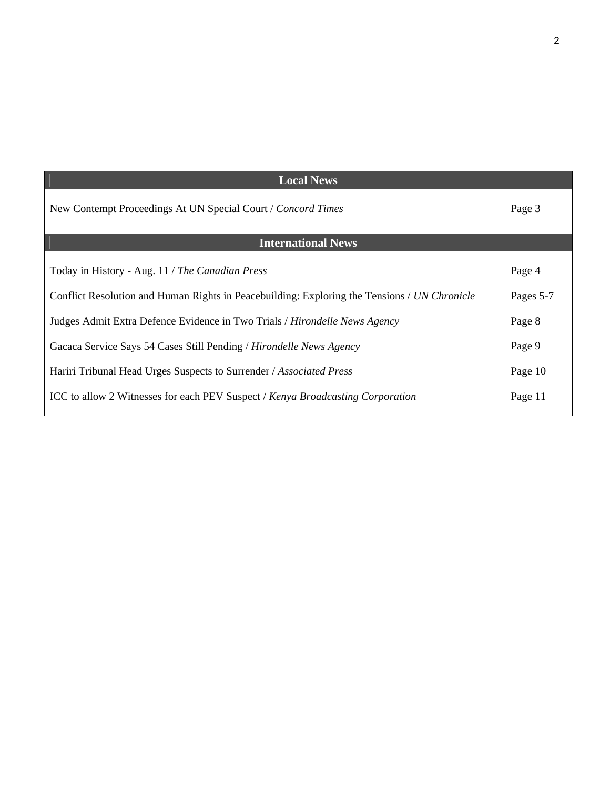| <b>Local News</b>                                                                            |           |
|----------------------------------------------------------------------------------------------|-----------|
| New Contempt Proceedings At UN Special Court / Concord Times                                 | Page 3    |
| <b>International News</b>                                                                    |           |
| Today in History - Aug. 11 / The Canadian Press                                              | Page 4    |
| Conflict Resolution and Human Rights in Peacebuilding: Exploring the Tensions / UN Chronicle | Pages 5-7 |
| Judges Admit Extra Defence Evidence in Two Trials / Hirondelle News Agency                   | Page 8    |
| Gacaca Service Says 54 Cases Still Pending / Hirondelle News Agency                          | Page 9    |
| Hariri Tribunal Head Urges Suspects to Surrender / Associated Press                          | Page 10   |
| ICC to allow 2 Witnesses for each PEV Suspect / Kenya Broadcasting Corporation               | Page 11   |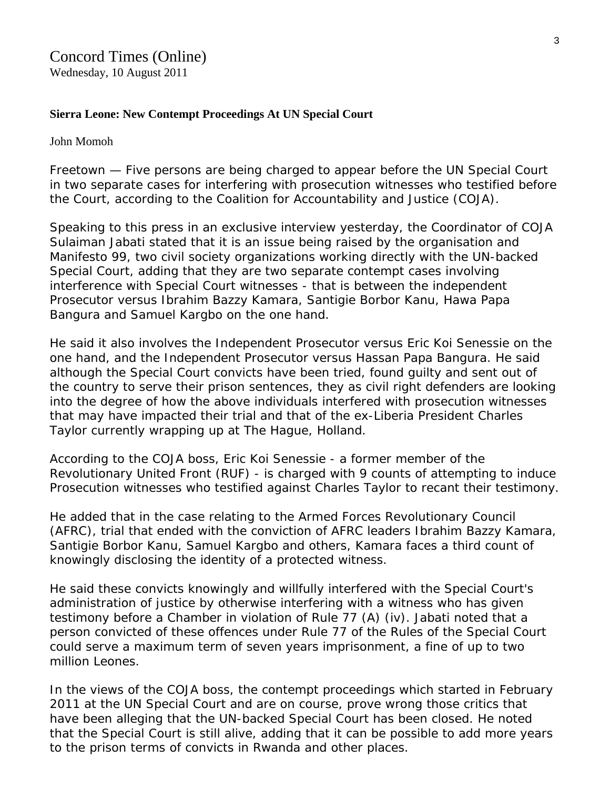#### **[Sierra Leone:](http://allafrica.com/sierraleone/) New Contempt Proceedings At UN Special Court**

John Momoh

Freetown — Five persons are being charged to appear before the UN Special Court in two separate cases for interfering with prosecution witnesses who testified before the Court, according to the Coalition for Accountability and Justice (COJA).

Speaking to this press in an exclusive interview yesterday, the Coordinator of COJA Sulaiman Jabati stated that it is an issue being raised by the organisation and Manifesto 99, two civil society organizations working directly with the UN-backed Special Court, adding that they are two separate contempt cases involving interference with Special Court witnesses - that is between the independent Prosecutor versus Ibrahim Bazzy Kamara, Santigie Borbor Kanu, Hawa Papa Bangura and Samuel Kargbo on the one hand.

He said it also involves the Independent Prosecutor versus Eric Koi Senessie on the one hand, and the Independent Prosecutor versus Hassan Papa Bangura. He said although the Special Court convicts have been tried, found guilty and sent out of the country to serve their prison sentences, they as civil right defenders are looking into the degree of how the above individuals interfered with prosecution witnesses that may have impacted their trial and that of the ex-Liberia President Charles Taylor currently wrapping up at The Hague, Holland.

According to the COJA boss, Eric Koi Senessie - a former member of the Revolutionary United Front (RUF) - is charged with 9 counts of attempting to induce Prosecution witnesses who testified against Charles Taylor to recant their testimony.

He added that in the case relating to the Armed Forces Revolutionary Council (AFRC), trial that ended with the conviction of AFRC leaders Ibrahim Bazzy Kamara, Santigie Borbor Kanu, Samuel Kargbo and others, Kamara faces a third count of knowingly disclosing the identity of a protected witness.

He said these convicts knowingly and willfully interfered with the Special Court's administration of justice by otherwise interfering with a witness who has given testimony before a Chamber in violation of Rule 77 (A) (iv). Jabati noted that a person convicted of these offences under Rule 77 of the Rules of the Special Court could serve a maximum term of seven years imprisonment, a fine of up to two million Leones.

In the views of the COJA boss, the contempt proceedings which started in February 2011 at the UN Special Court and are on course, prove wrong those critics that have been alleging that the UN-backed Special Court has been closed. He noted that the Special Court is still alive, adding that it can be possible to add more years to the prison terms of convicts in Rwanda and other places.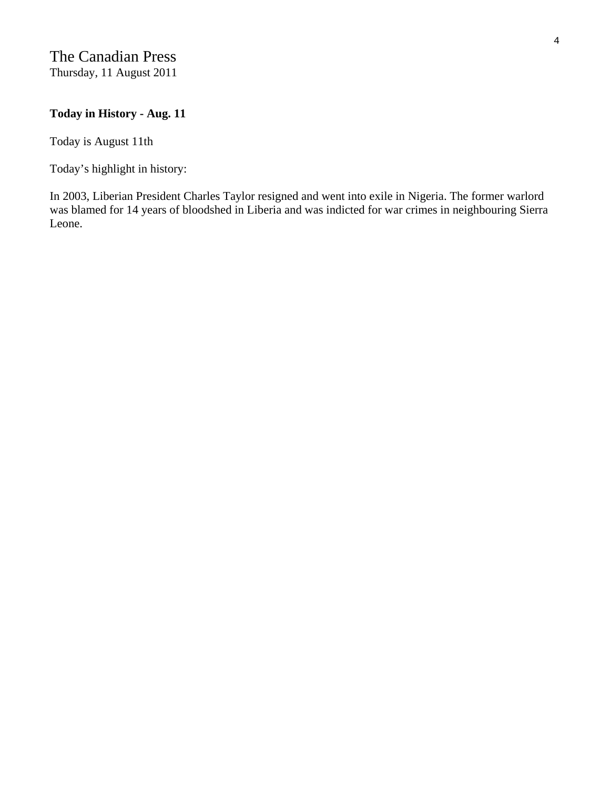## The Canadian Press Thursday, 11 August 2011

#### **Today in History - Aug. 11**

Today is August 11th

Today's highlight in history:

In 2003, Liberian President Charles Taylor resigned and went into exile in Nigeria. The former warlord was blamed for 14 years of bloodshed in Liberia and was indicted for war crimes in neighbouring Sierra Leone.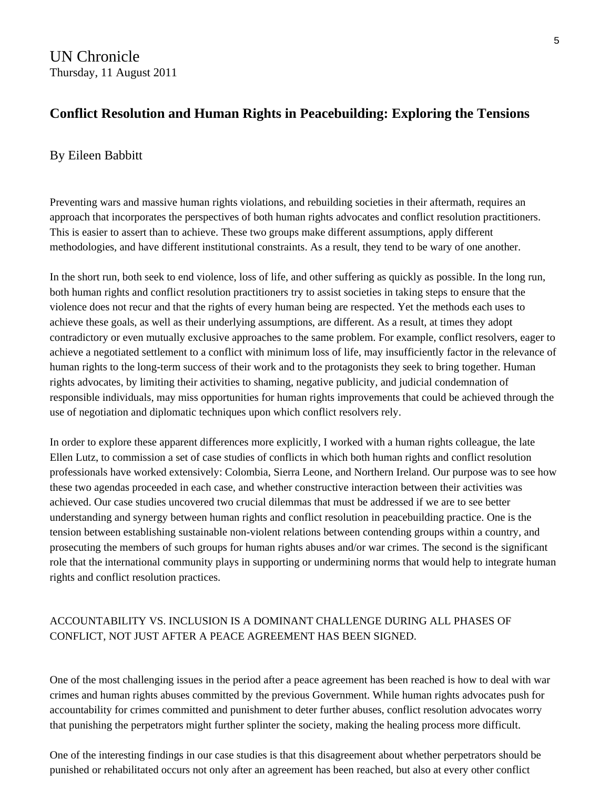## **Conflict Resolution and Human Rights in Peacebuilding: Exploring the Tensions**

#### By Eileen Babbitt

Preventing wars and massive human rights violations, and rebuilding societies in their aftermath, requires an approach that incorporates the perspectives of both human rights advocates and conflict resolution practitioners. This is easier to assert than to achieve. These two groups make different assumptions, apply different methodologies, and have different institutional constraints. As a result, they tend to be wary of one another.

In the short run, both seek to end violence, loss of life, and other suffering as quickly as possible. In the long run, both human rights and conflict resolution practitioners try to assist societies in taking steps to ensure that the violence does not recur and that the rights of every human being are respected. Yet the methods each uses to achieve these goals, as well as their underlying assumptions, are different. As a result, at times they adopt contradictory or even mutually exclusive approaches to the same problem. For example, conflict resolvers, eager to achieve a negotiated settlement to a conflict with minimum loss of life, may insufficiently factor in the relevance of human rights to the long-term success of their work and to the protagonists they seek to bring together. Human rights advocates, by limiting their activities to shaming, negative publicity, and judicial condemnation of responsible individuals, may miss opportunities for human rights improvements that could be achieved through the use of negotiation and diplomatic techniques upon which conflict resolvers rely.

In order to explore these apparent differences more explicitly, I worked with a human rights colleague, the late Ellen Lutz, to commission a set of case studies of conflicts in which both human rights and conflict resolution professionals have worked extensively: Colombia, Sierra Leone, and Northern Ireland. Our purpose was to see how these two agendas proceeded in each case, and whether constructive interaction between their activities was achieved. Our case studies uncovered two crucial dilemmas that must be addressed if we are to see better understanding and synergy between human rights and conflict resolution in peacebuilding practice. One is the tension between establishing sustainable non-violent relations between contending groups within a country, and prosecuting the members of such groups for human rights abuses and/or war crimes. The second is the significant role that the international community plays in supporting or undermining norms that would help to integrate human rights and conflict resolution practices.

#### ACCOUNTABILITY VS. INCLUSION IS A DOMINANT CHALLENGE DURING ALL PHASES OF CONFLICT, NOT JUST AFTER A PEACE AGREEMENT HAS BEEN SIGNED.

One of the most challenging issues in the period after a peace agreement has been reached is how to deal with war crimes and human rights abuses committed by the previous Government. While human rights advocates push for accountability for crimes committed and punishment to deter further abuses, conflict resolution advocates worry that punishing the perpetrators might further splinter the society, making the healing process more difficult.

One of the interesting findings in our case studies is that this disagreement about whether perpetrators should be punished or rehabilitated occurs not only after an agreement has been reached, but also at every other conflict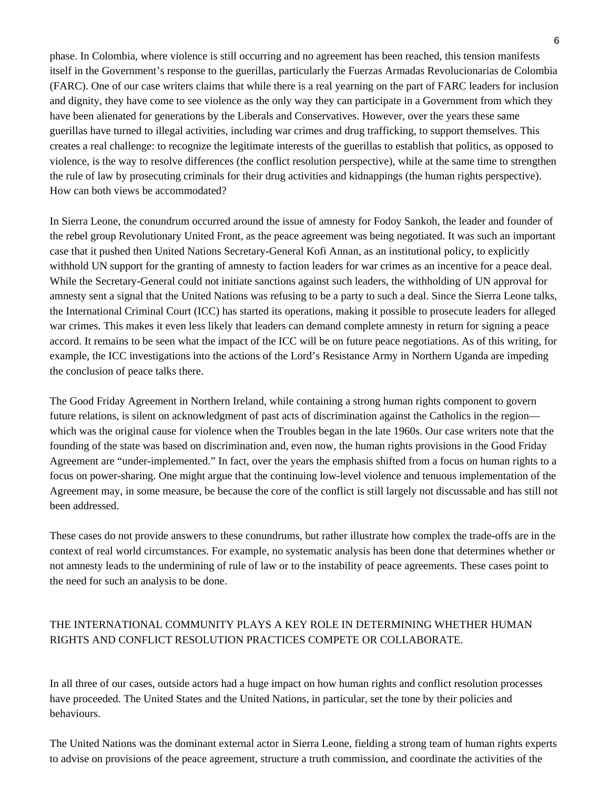phase. In Colombia, where violence is still occurring and no agreement has been reached, this tension manifests itself in the Government's response to the guerillas, particularly the Fuerzas Armadas Revolucionarias de Colombia (FARC). One of our case writers claims that while there is a real yearning on the part of FARC leaders for inclusion and dignity, they have come to see violence as the only way they can participate in a Government from which they have been alienated for generations by the Liberals and Conservatives. However, over the years these same guerillas have turned to illegal activities, including war crimes and drug trafficking, to support themselves. This creates a real challenge: to recognize the legitimate interests of the guerillas to establish that politics, as opposed to violence, is the way to resolve differences (the conflict resolution perspective), while at the same time to strengthen the rule of law by prosecuting criminals for their drug activities and kidnappings (the human rights perspective). How can both views be accommodated?

In Sierra Leone, the conundrum occurred around the issue of amnesty for Fodoy Sankoh, the leader and founder of the rebel group Revolutionary United Front, as the peace agreement was being negotiated. It was such an important case that it pushed then United Nations Secretary-General Kofi Annan, as an institutional policy, to explicitly withhold UN support for the granting of amnesty to faction leaders for war crimes as an incentive for a peace deal. While the Secretary-General could not initiate sanctions against such leaders, the withholding of UN approval for amnesty sent a signal that the United Nations was refusing to be a party to such a deal. Since the Sierra Leone talks, the International Criminal Court (ICC) has started its operations, making it possible to prosecute leaders for alleged war crimes. This makes it even less likely that leaders can demand complete amnesty in return for signing a peace accord. It remains to be seen what the impact of the ICC will be on future peace negotiations. As of this writing, for example, the ICC investigations into the actions of the Lord's Resistance Army in Northern Uganda are impeding the conclusion of peace talks there.

The Good Friday Agreement in Northern Ireland, while containing a strong human rights component to govern future relations, is silent on acknowledgment of past acts of discrimination against the Catholics in the region which was the original cause for violence when the Troubles began in the late 1960s. Our case writers note that the founding of the state was based on discrimination and, even now, the human rights provisions in the Good Friday Agreement are "under-implemented." In fact, over the years the emphasis shifted from a focus on human rights to a focus on power-sharing. One might argue that the continuing low-level violence and tenuous implementation of the Agreement may, in some measure, be because the core of the conflict is still largely not discussable and has still not been addressed.

These cases do not provide answers to these conundrums, but rather illustrate how complex the trade-offs are in the context of real world circumstances. For example, no systematic analysis has been done that determines whether or not amnesty leads to the undermining of rule of law or to the instability of peace agreements. These cases point to the need for such an analysis to be done.

#### THE INTERNATIONAL COMMUNITY PLAYS A KEY ROLE IN DETERMINING WHETHER HUMAN RIGHTS AND CONFLICT RESOLUTION PRACTICES COMPETE OR COLLABORATE.

In all three of our cases, outside actors had a huge impact on how human rights and conflict resolution processes have proceeded. The United States and the United Nations, in particular, set the tone by their policies and behaviours.

The United Nations was the dominant external actor in Sierra Leone, fielding a strong team of human rights experts to advise on provisions of the peace agreement, structure a truth commission, and coordinate the activities of the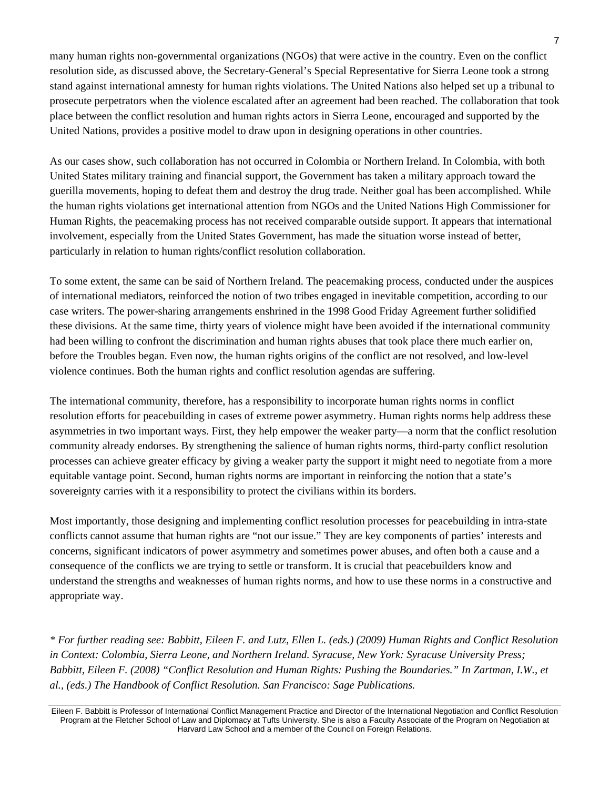many human rights non-governmental organizations (NGOs) that were active in the country. Even on the conflict resolution side, as discussed above, the Secretary-General's Special Representative for Sierra Leone took a strong stand against international amnesty for human rights violations. The United Nations also helped set up a tribunal to prosecute perpetrators when the violence escalated after an agreement had been reached. The collaboration that took place between the conflict resolution and human rights actors in Sierra Leone, encouraged and supported by the United Nations, provides a positive model to draw upon in designing operations in other countries.

As our cases show, such collaboration has not occurred in Colombia or Northern Ireland. In Colombia, with both United States military training and financial support, the Government has taken a military approach toward the guerilla movements, hoping to defeat them and destroy the drug trade. Neither goal has been accomplished. While the human rights violations get international attention from NGOs and the United Nations High Commissioner for Human Rights, the peacemaking process has not received comparable outside support. It appears that international involvement, especially from the United States Government, has made the situation worse instead of better, particularly in relation to human rights/conflict resolution collaboration.

To some extent, the same can be said of Northern Ireland. The peacemaking process, conducted under the auspices of international mediators, reinforced the notion of two tribes engaged in inevitable competition, according to our case writers. The power-sharing arrangements enshrined in the 1998 Good Friday Agreement further solidified these divisions. At the same time, thirty years of violence might have been avoided if the international community had been willing to confront the discrimination and human rights abuses that took place there much earlier on, before the Troubles began. Even now, the human rights origins of the conflict are not resolved, and low-level violence continues. Both the human rights and conflict resolution agendas are suffering.

The international community, therefore, has a responsibility to incorporate human rights norms in conflict resolution efforts for peacebuilding in cases of extreme power asymmetry. Human rights norms help address these asymmetries in two important ways. First, they help empower the weaker party—a norm that the conflict resolution community already endorses. By strengthening the salience of human rights norms, third-party conflict resolution processes can achieve greater efficacy by giving a weaker party the support it might need to negotiate from a more equitable vantage point. Second, human rights norms are important in reinforcing the notion that a state's sovereignty carries with it a responsibility to protect the civilians within its borders.

Most importantly, those designing and implementing conflict resolution processes for peacebuilding in intra-state conflicts cannot assume that human rights are "not our issue." They are key components of parties' interests and concerns, significant indicators of power asymmetry and sometimes power abuses, and often both a cause and a consequence of the conflicts we are trying to settle or transform. It is crucial that peacebuilders know and understand the strengths and weaknesses of human rights norms, and how to use these norms in a constructive and appropriate way.

*\* For further reading see: Babbitt, Eileen F. and Lutz, Ellen L. (eds.) (2009) Human Rights and Conflict Resolution in Context: Colombia, Sierra Leone, and Northern Ireland. Syracuse, New York: Syracuse University Press; Babbitt, Eileen F. (2008) "Conflict Resolution and Human Rights: Pushing the Boundaries." In Zartman, I.W., et al., (eds.) The Handbook of Conflict Resolution. San Francisco: Sage Publications.* 

Eileen F. Babbitt is Professor of International Conflict Management Practice and Director of the International Negotiation and Conflict Resolution Program at the Fletcher School of Law and Diplomacy at Tufts University. She is also a Faculty Associate of the Program on Negotiation at Harvard Law School and a member of the Council on Foreign Relations.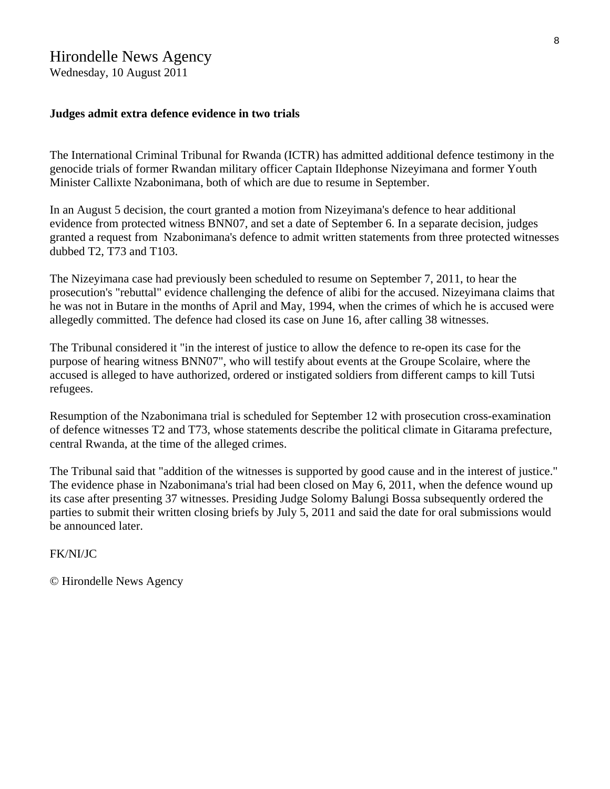## Hirondelle News Agency

Wednesday, 10 August 2011

#### **Judges admit extra defence evidence in two trials**

The International Criminal Tribunal for Rwanda (ICTR) has admitted additional defence testimony in the genocide trials of former Rwandan military officer Captain Ildephonse Nizeyimana and former Youth Minister Callixte Nzabonimana, both of which are due to resume in September.

In an August 5 decision, the court granted a motion from Nizeyimana's defence to hear additional evidence from protected witness BNN07, and set a date of September 6. In a separate decision, judges granted a request from Nzabonimana's defence to admit written statements from three protected witnesses dubbed T2, T73 and T103.

The Nizeyimana case had previously been scheduled to resume on September 7, 2011, to hear the prosecution's "rebuttal" evidence challenging the defence of alibi for the accused. Nizeyimana claims that he was not in Butare in the months of April and May, 1994, when the crimes of which he is accused were allegedly committed. The defence had closed its case on June 16, after calling 38 witnesses.

The Tribunal considered it "in the interest of justice to allow the defence to re-open its case for the purpose of hearing witness BNN07", who will testify about events at the Groupe Scolaire, where the accused is alleged to have authorized, ordered or instigated soldiers from different camps to kill Tutsi refugees.

Resumption of the Nzabonimana trial is scheduled for September 12 with prosecution cross-examination of defence witnesses T2 and T73, whose statements describe the political climate in Gitarama prefecture, central Rwanda, at the time of the alleged crimes.

The Tribunal said that "addition of the witnesses is supported by good cause and in the interest of justice." The evidence phase in Nzabonimana's trial had been closed on May 6, 2011, when the defence wound up its case after presenting 37 witnesses. Presiding Judge Solomy Balungi Bossa subsequently ordered the parties to submit their written closing briefs by July 5, 2011 and said the date for oral submissions would be announced later.

FK/NI/JC

© Hirondelle News Agency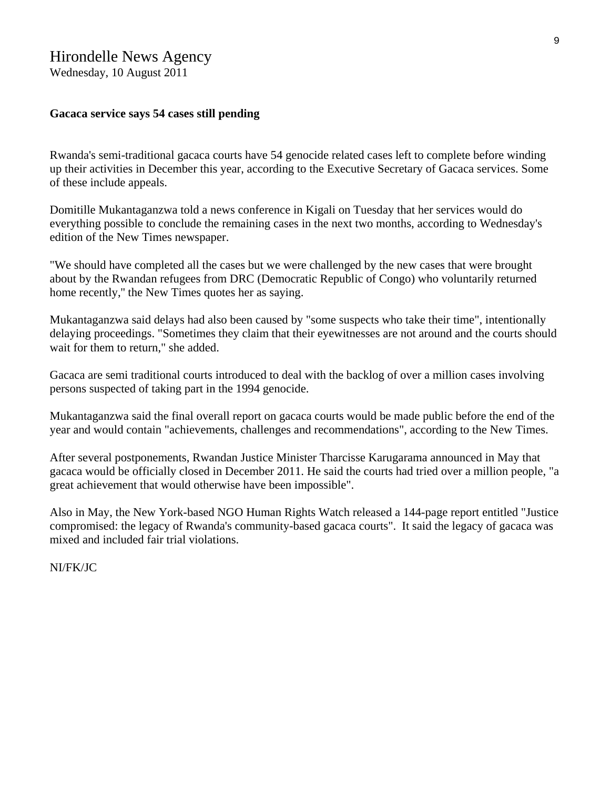## Hirondelle News Agency

Wednesday, 10 August 2011

#### **Gacaca service says 54 cases still pending**

Rwanda's semi-traditional gacaca courts have 54 genocide related cases left to complete before winding up their activities in December this year, according to the Executive Secretary of Gacaca services. Some of these include appeals.

Domitille Mukantaganzwa told a news conference in Kigali on Tuesday that her services would do everything possible to conclude the remaining cases in the next two months, according to Wednesday's edition of the New Times newspaper.

"We should have completed all the cases but we were challenged by the new cases that were brought about by the Rwandan refugees from DRC (Democratic Republic of Congo) who voluntarily returned home recently,'' the New Times quotes her as saying.

Mukantaganzwa said delays had also been caused by "some suspects who take their time", intentionally delaying proceedings. "Sometimes they claim that their eyewitnesses are not around and the courts should wait for them to return," she added.

Gacaca are semi traditional courts introduced to deal with the backlog of over a million cases involving persons suspected of taking part in the 1994 genocide.

Mukantaganzwa said the final overall report on gacaca courts would be made public before the end of the year and would contain "achievements, challenges and recommendations", according to the New Times.

After several postponements, Rwandan Justice Minister Tharcisse Karugarama announced in May that gacaca would be officially closed in December 2011. He said the courts had tried over a million people, "a great achievement that would otherwise have been impossible".

Also in May, the New York-based NGO Human Rights Watch released a 144-page report entitled "Justice compromised: the legacy of Rwanda's community-based gacaca courts". It said the legacy of gacaca was mixed and included fair trial violations.

NI/FK/JC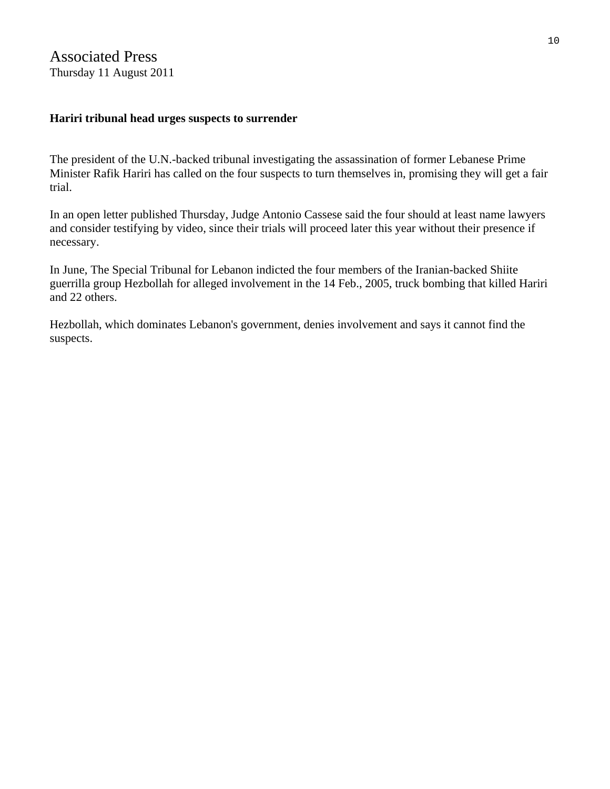#### **Hariri tribunal head urges suspects to surrender**

The president of the U.N.-backed tribunal investigating the assassination of former Lebanese Prime Minister Rafik Hariri has called on the four suspects to turn themselves in, promising they will get a fair trial.

In an open letter published Thursday, Judge Antonio Cassese said the four should at least name lawyers and consider testifying by video, since their trials will proceed later this year without their presence if necessary.

In June, The Special Tribunal for Lebanon indicted the four members of the Iranian-backed Shiite guerrilla group Hezbollah for alleged involvement in the 14 Feb., 2005, truck bombing that killed Hariri and 22 others.

Hezbollah, which dominates Lebanon's government, denies involvement and says it cannot find the suspects.